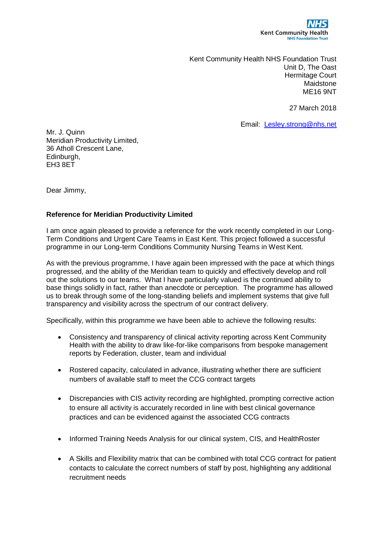

Kent Community Health NHS Foundation Trust Unit D, The Oast Hermitage Court Maidstone ME16 9NT

27 March 2018

Email: [Lesley.strong@nhs.net](mailto:Lesley.strong@nhs.net)

Mr. J. Quinn Meridian Productivity Limited, 36 Atholl Crescent Lane, Edinburgh, EH3 8ET

Dear Jimmy,

## **Reference for Meridian Productivity Limited**

I am once again pleased to provide a reference for the work recently completed in our Long-Term Conditions and Urgent Care Teams in East Kent. This project followed a successful programme in our Long-term Conditions Community Nursing Teams in West Kent.

As with the previous programme, I have again been impressed with the pace at which things progressed, and the ability of the Meridian team to quickly and effectively develop and roll out the solutions to our teams. What I have particularly valued is the continued ability to base things solidly in fact, rather than anecdote or perception. The programme has allowed us to break through some of the long-standing beliefs and implement systems that give full transparency and visibility across the spectrum of our contract delivery.

Specifically, within this programme we have been able to achieve the following results:

- Consistency and transparency of clinical activity reporting across Kent Community Health with the ability to draw like-for-like comparisons from bespoke management reports by Federation, cluster, team and individual
- Rostered capacity, calculated in advance, illustrating whether there are sufficient numbers of available staff to meet the CCG contract targets
- Discrepancies with CIS activity recording are highlighted, prompting corrective action to ensure all activity is accurately recorded in line with best clinical governance practices and can be evidenced against the associated CCG contracts
- Informed Training Needs Analysis for our clinical system, CIS, and HealthRoster
- A Skills and Flexibility matrix that can be combined with total CCG contract for patient contacts to calculate the correct numbers of staff by post, highlighting any additional recruitment needs